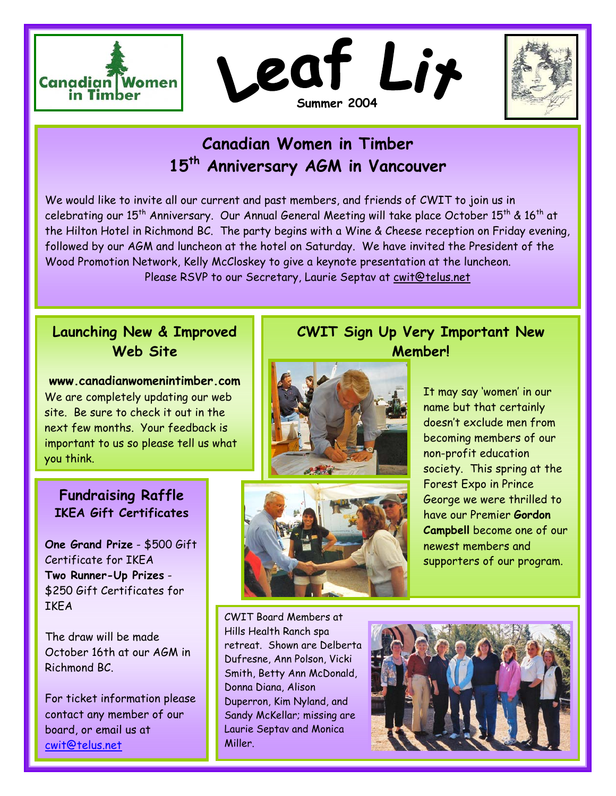





# **Canadian Women in Timber 15th Anniversary AGM in Vancouver**

We would like to invite all our current and past members, and friends of CWIT to join us in celebrating our 15<sup>th</sup> Anniversary. Our Annual General Meeting will take place October 15<sup>th</sup> & 16<sup>th</sup> at the Hilton Hotel in Richmond BC. The party begins with a Wine & Cheese reception on Friday evening, followed by our AGM and luncheon at the hotel on Saturday. We have invited the President of the Wood Promotion Network, Kelly McCloskey to give a keynote presentation at the luncheon. Please RSVP to our Secretary, Laurie Septav at [cwit@telus.net](mailto:cwit@telus.net)

### **Launching New & Improved Web Site**

**www.canadianwomenintimber.com**  We are completely updating our web site. Be sure to check it out in the next few months. Your feedback is important to us so please tell us what you think.



## **Fundraising Raffle IKEA Gift Certificates**

**One Grand Prize** - \$500 Gift Certificate for IKEA **Two Runner-Up Prizes** - \$250 Gift Certificates for **TKFA** 

The draw will be made October 16th at our AGM in Richmond BC.

For ticket information please contact any member of our board, or email us at [cwit@telus.net](mailto:cwit@telus.net)



**CWIT Sign Up Very Important New Member!** 

> It may say 'women' in our name but that certainly doesn't exclude men from becoming members of our non-profit education society. This spring at the Forest Expo in Prince George we were thrilled to have our Premier **Gordon Campbell** become one of our newest members and supporters of our program.

CWIT Board Members at Hills Health Ranch spa retreat. Shown are Delberta Dufresne, Ann Polson, Vicki Smith, Betty Ann McDonald, Donna Diana, Alison Duperron, Kim Nyland, and Sandy McKellar; missing are Laurie Septav and Monica Miller.